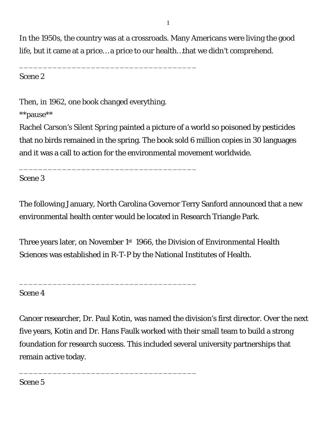In the 1950s, the country was at a crossroads. Many Americans were living the good life, but it came at a price… a price to our health…that we didn't comprehend.

Scene 2

Then, in 1962, one book changed everything.

\_\_\_\_\_\_\_\_\_\_\_\_\_\_\_\_\_\_\_\_\_\_\_\_\_\_\_\_\_\_\_\_\_\_\_\_\_

\_\_\_\_\_\_\_\_\_\_\_\_\_\_\_\_\_\_\_\_\_\_\_\_\_\_\_\_\_\_\_\_\_\_\_\_\_

\_\_\_\_\_\_\_\_\_\_\_\_\_\_\_\_\_\_\_\_\_\_\_\_\_\_\_\_\_\_\_\_\_\_\_\_\_

\_\_\_\_\_\_\_\_\_\_\_\_\_\_\_\_\_\_\_\_\_\_\_\_\_\_\_\_\_\_\_\_\_\_\_\_\_

\*\*pause\*\*

Rachel Carson's *Silent Spring* painted a picture of a world so poisoned by pesticides that no birds remained in the spring. The book sold 6 million copies in 30 languages and it was a call to action for the environmental movement worldwide.

Scene 3

The following January, North Carolina Governor Terry Sanford announced that a new environmental health center would be located in Research Triangle Park.

Three years later, on November 1<sup>st</sup> 1966, the Division of Environmental Health Sciences was established in R-T-P by the National Institutes of Health.

Scene 4

Cancer researcher, Dr. Paul Kotin, was named the division's first director. Over the next five years, Kotin and Dr. Hans Faulk worked with their small team to build a strong foundation for research success. This included several university partnerships that remain active today.

Scene 5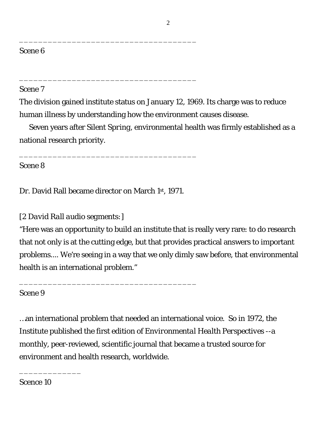## Scene 7

The division gained institute status on January 12, 1969. Its charge was to reduce human illness by understanding how the environment causes disease.

Seven years after *Silent Spring*, environmental health was firmly established as a national research priority.

Scene 8

Dr. David Rall became director on March 1st, 1971.

\_\_\_\_\_\_\_\_\_\_\_\_\_\_\_\_\_\_\_\_\_\_\_\_\_\_\_\_\_\_\_\_\_\_\_\_\_

\_\_\_\_\_\_\_\_\_\_\_\_\_\_\_\_\_\_\_\_\_\_\_\_\_\_\_\_\_\_\_\_\_\_\_\_\_

\_\_\_\_\_\_\_\_\_\_\_\_\_\_\_\_\_\_\_\_\_\_\_\_\_\_\_\_\_\_\_\_\_\_\_\_\_

\_\_\_\_\_\_\_\_\_\_\_\_\_\_\_\_\_\_\_\_\_\_\_\_\_\_\_\_\_\_\_\_\_\_\_\_\_

## *[2 David Rall audio segments:]*

"Here was an opportunity to build an institute that is really very rare: to do research that not only is at the cutting edge, but that provides practical answers to important problems.... We're seeing in a way that we only dimly saw before, that environmental health is an international problem."

Scene 9

…an international problem that needed an international voice. So in 1972, the Institute published the first edition of *Environmental Health Perspectives* --a monthly, peer-reviewed, scientific journal that became a trusted source for environment and health research, worldwide.

Scence 10

\_\_\_\_\_\_\_\_\_\_\_\_\_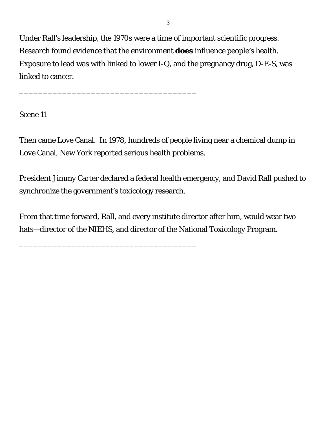Under Rall's leadership, the 1970s were a time of important scientific progress. Research found evidence that the environment *does* influence people's health. Exposure to lead was with linked to lower I-Q, and the pregnancy drug, D-E-S, was linked to cancer.

\_\_\_\_\_\_\_\_\_\_\_\_\_\_\_\_\_\_\_\_\_\_\_\_\_\_\_\_\_\_\_\_\_\_\_\_\_

\_\_\_\_\_\_\_\_\_\_\_\_\_\_\_\_\_\_\_\_\_\_\_\_\_\_\_\_\_\_\_\_\_\_\_\_\_

Scene 11

Then came Love Canal. In 1978, hundreds of people living near a chemical dump in Love Canal, New York reported serious health problems.

President Jimmy Carter declared a federal health emergency, and David Rall pushed to synchronize the government's toxicology research.

From that time forward, Rall, and every institute director after him, would wear two hats—director of the NIEHS, and director of the National Toxicology Program.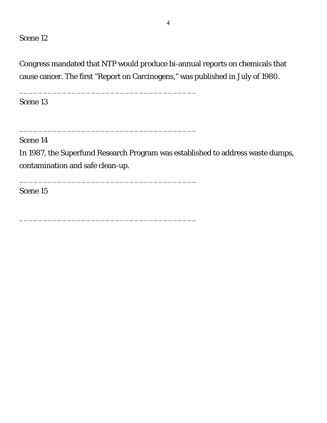Congress mandated that NTP would produce bi-annual reports on chemicals that cause cancer. The first "Report on Carcinogens," was published in July of 1980.

\_\_\_\_\_\_\_\_\_\_\_\_\_\_\_\_\_\_\_\_\_\_\_\_\_\_\_\_\_\_\_\_\_\_\_\_\_

\_\_\_\_\_\_\_\_\_\_\_\_\_\_\_\_\_\_\_\_\_\_\_\_\_\_\_\_\_\_\_\_\_\_\_\_\_

\_\_\_\_\_\_\_\_\_\_\_\_\_\_\_\_\_\_\_\_\_\_\_\_\_\_\_\_\_\_\_\_\_\_\_\_\_

\_\_\_\_\_\_\_\_\_\_\_\_\_\_\_\_\_\_\_\_\_\_\_\_\_\_\_\_\_\_\_\_\_\_\_\_\_

Scene 13

Scene 14

In 1987, the Superfund Research Program was established to address waste dumps, contamination and safe clean-up.

Scene 15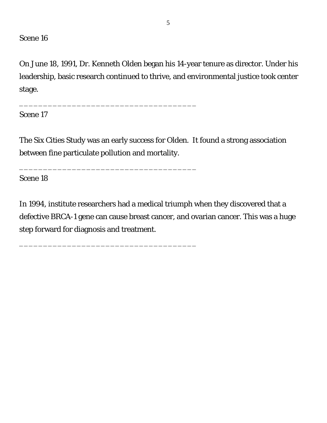On June 18, 1991, Dr. Kenneth Olden began his 14-year tenure as director. Under his leadership, basic research continued to thrive, and environmental justice took center stage.

Scene 17

The Six Cities Study was an early success for Olden. It found a strong association between fine particulate pollution and mortality.

\_\_\_\_\_\_\_\_\_\_\_\_\_\_\_\_\_\_\_\_\_\_\_\_\_\_\_\_\_\_\_\_\_\_\_\_\_

\_\_\_\_\_\_\_\_\_\_\_\_\_\_\_\_\_\_\_\_\_\_\_\_\_\_\_\_\_\_\_\_\_\_\_\_\_

\_\_\_\_\_\_\_\_\_\_\_\_\_\_\_\_\_\_\_\_\_\_\_\_\_\_\_\_\_\_\_\_\_\_\_\_\_

Scene 18

In 1994, institute researchers had a medical triumph when they discovered that a defective BRCA-1 gene can cause breast cancer, and ovarian cancer. This was a huge step forward for diagnosis and treatment.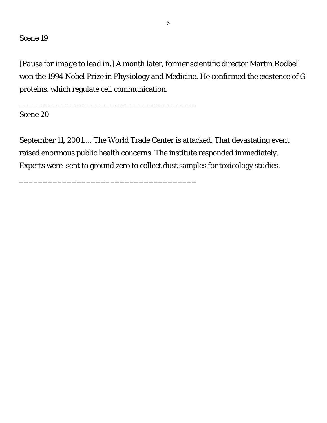*[Pause for image to lead in.]* A month later, former scientific director Martin Rodbell won the 1994 Nobel Prize in Physiology and Medicine. He confirmed the existence of G proteins, which regulate cell communication.

Scene 20

September 11, 2001.... The World Trade Center is attacked. That devastating event raised enormous public health concerns. The institute responded immediately. Experts were sent to ground zero to collect dust samples for toxicology studies.

\_\_\_\_\_\_\_\_\_\_\_\_\_\_\_\_\_\_\_\_\_\_\_\_\_\_\_\_\_\_\_\_\_\_\_\_\_

\_\_\_\_\_\_\_\_\_\_\_\_\_\_\_\_\_\_\_\_\_\_\_\_\_\_\_\_\_\_\_\_\_\_\_\_\_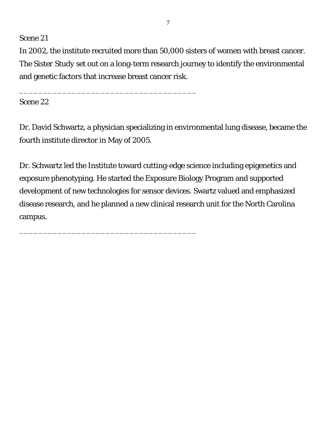In 2002, the institute recruited more than 50,000 sisters of women with breast cancer. The *Sister Study* set out on a long-term research journey to identify the environmental and genetic factors that increase breast cancer risk.

\_\_\_\_\_\_\_\_\_\_\_\_\_\_\_\_\_\_\_\_\_\_\_\_\_\_\_\_\_\_\_\_\_\_\_\_\_

\_\_\_\_\_\_\_\_\_\_\_\_\_\_\_\_\_\_\_\_\_\_\_\_\_\_\_\_\_\_\_\_\_\_\_\_\_

Scene 22

Dr. David Schwartz, a physician specializing in environmental lung disease, became the fourth institute director in May of 2005.

Dr. Schwartz led the Institute toward cutting-edge science including epigenetics and exposure phenotyping. He started the Exposure Biology Program and supported development of new technologies for sensor devices. Swartz valued and emphasized disease research, and he planned a new clinical research unit for the North Carolina campus.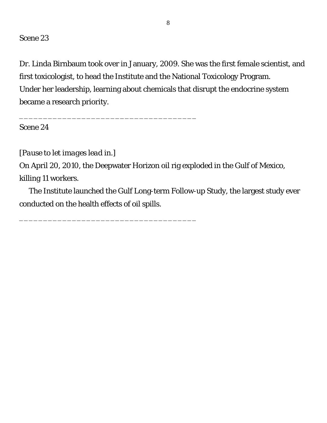Dr. Linda Birnbaum took over in January, 2009. She was the first female scientist, and first toxicologist, to head the Institute and the National Toxicology Program. Under her leadership, learning about chemicals that disrupt the endocrine system became a research priority.

Scene 24

*[Pause to let images lead in.]*

\_\_\_\_\_\_\_\_\_\_\_\_\_\_\_\_\_\_\_\_\_\_\_\_\_\_\_\_\_\_\_\_\_\_\_\_\_

\_\_\_\_\_\_\_\_\_\_\_\_\_\_\_\_\_\_\_\_\_\_\_\_\_\_\_\_\_\_\_\_\_\_\_\_\_

On April 20, 2010, the Deepwater Horizon oil rig exploded in the Gulf of Mexico, killing 11 workers.

The Institute launched the Gulf Long-term Follow-up Study, the largest study ever conducted on the health effects of oil spills.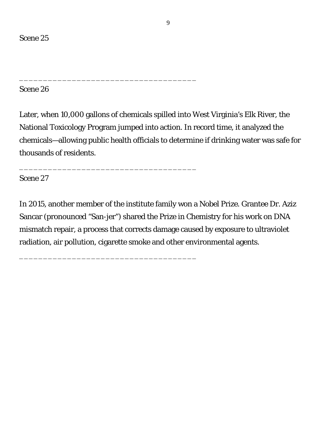Later, when 10,000 gallons of chemicals spilled into West Virginia's Elk River, the National Toxicology Program jumped into action. In record time, it analyzed the chemicals—allowing public health officials to determine if drinking water was safe for thousands of residents.

\_\_\_\_\_\_\_\_\_\_\_\_\_\_\_\_\_\_\_\_\_\_\_\_\_\_\_\_\_\_\_\_\_\_\_\_\_

\_\_\_\_\_\_\_\_\_\_\_\_\_\_\_\_\_\_\_\_\_\_\_\_\_\_\_\_\_\_\_\_\_\_\_\_\_

\_\_\_\_\_\_\_\_\_\_\_\_\_\_\_\_\_\_\_\_\_\_\_\_\_\_\_\_\_\_\_\_\_\_\_\_\_

Scene 27

In 2015, another member of the institute family won a Nobel Prize. Grantee Dr. Aziz Sancar (pronounced "San-jer") shared the Prize in Chemistry for his work on DNA mismatch repair, a process that corrects damage caused by exposure to ultraviolet radiation, air pollution, cigarette smoke and other environmental agents.